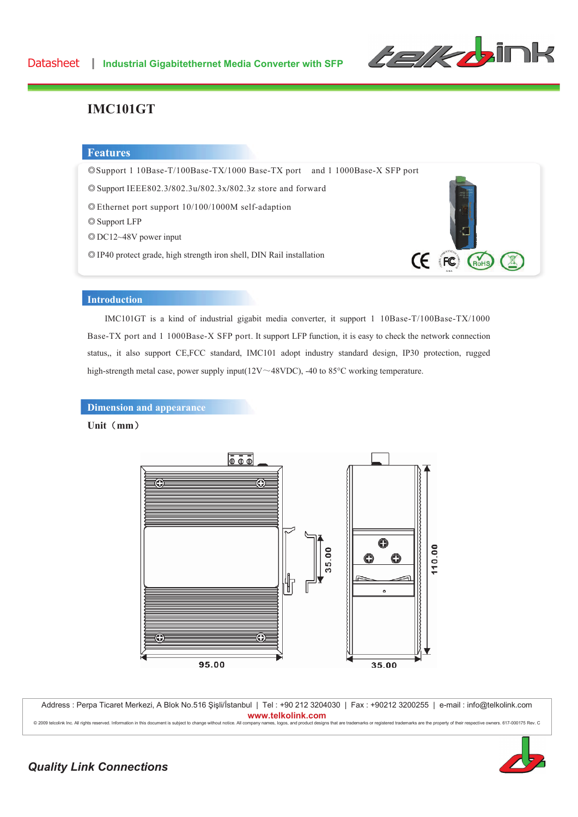

## **IMC101GT**

#### **Features**

ƼSupport 1 10Base-T/100Base-TX/1000 Base-TX port and 1 1000Base-X SFP port

ƼSupport IEEE802.3**/**802.3u**/**802.3x**/**802.3z store and forward

ƼEthernet port support 10/100/1000M self-adaption

© Support LFP

ƼDC12~48V power input

ƼIP40 protect grade, high strength iron shell, DIN Rail installation



### **Introduction**

IMC101GT is a kind of industrial gigabit media converter, it support 1 10Base-T/100Base-TX/1000 Base-TX port and 1 1000Base-X SFP port. It support LFP function, it is easy to check the network connection status,, it also support CE,FCC standard, IMC101 adopt industry standard design, IP30 protection, rugged high-strength metal case, power supply input( $12V \sim 48VDC$ ), -40 to 85°C working temperature.

**Dimension and appearance** 

#### Unit (mm)



Address : Perpa Ticaret Merkezi, A Blok No.516 Şişli/İstanbul | Tel : +90 212 3204030 | Fax : +90212 3200255 | e-mail : info@telkolink.com www.telkolink.com

ll company names, logos, and product designs that are trademarks or registered trademarks are the property of their respective owners. 617-000175 Rev. C



## **Quality Link Connections**

@ 2009 telcolink Inc. All rights reserved. Information in this document is subject to change without notice. A